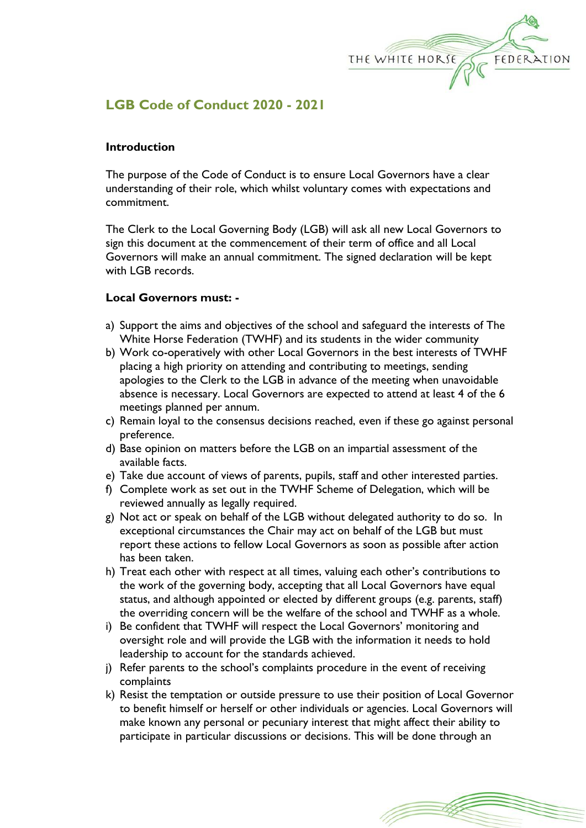

# **LGB Code of Conduct 2020 - 2021**

## **Introduction**

The purpose of the Code of Conduct is to ensure Local Governors have a clear understanding of their role, which whilst voluntary comes with expectations and commitment.

The Clerk to the Local Governing Body (LGB) will ask all new Local Governors to sign this document at the commencement of their term of office and all Local Governors will make an annual commitment. The signed declaration will be kept with LGB records.

## **Local Governors must: -**

- a) Support the aims and objectives of the school and safeguard the interests of The White Horse Federation (TWHF) and its students in the wider community
- b) Work co-operatively with other Local Governors in the best interests of TWHF placing a high priority on attending and contributing to meetings, sending apologies to the Clerk to the LGB in advance of the meeting when unavoidable absence is necessary. Local Governors are expected to attend at least 4 of the 6 meetings planned per annum.
- c) Remain loyal to the consensus decisions reached, even if these go against personal preference.
- d) Base opinion on matters before the LGB on an impartial assessment of the available facts.
- e) Take due account of views of parents, pupils, staff and other interested parties.
- f) Complete work as set out in the TWHF Scheme of Delegation, which will be reviewed annually as legally required.
- g) Not act or speak on behalf of the LGB without delegated authority to do so. In exceptional circumstances the Chair may act on behalf of the LGB but must report these actions to fellow Local Governors as soon as possible after action has been taken.
- h) Treat each other with respect at all times, valuing each other's contributions to the work of the governing body, accepting that all Local Governors have equal status, and although appointed or elected by different groups (e.g. parents, staff) the overriding concern will be the welfare of the school and TWHF as a whole.
- i) Be confident that TWHF will respect the Local Governors' monitoring and oversight role and will provide the LGB with the information it needs to hold leadership to account for the standards achieved.
- j) Refer parents to the school's complaints procedure in the event of receiving complaints
- k) Resist the temptation or outside pressure to use their position of Local Governor to benefit himself or herself or other individuals or agencies. Local Governors will make known any personal or pecuniary interest that might affect their ability to participate in particular discussions or decisions. This will be done through an

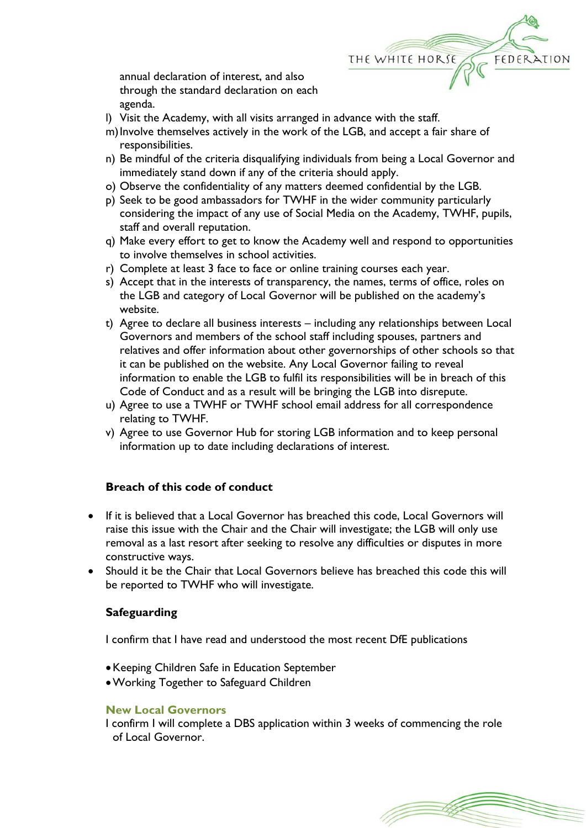

annual declaration of interest, and also through the standard declaration on each agenda.

- l) Visit the Academy, with all visits arranged in advance with the staff.
- m)Involve themselves actively in the work of the LGB, and accept a fair share of responsibilities.
- n) Be mindful of the criteria disqualifying individuals from being a Local Governor and immediately stand down if any of the criteria should apply.
- o) Observe the confidentiality of any matters deemed confidential by the LGB.
- p) Seek to be good ambassadors for TWHF in the wider community particularly considering the impact of any use of Social Media on the Academy, TWHF, pupils, staff and overall reputation.
- q) Make every effort to get to know the Academy well and respond to opportunities to involve themselves in school activities.
- r) Complete at least 3 face to face or online training courses each year.
- s) Accept that in the interests of transparency, the names, terms of office, roles on the LGB and category of Local Governor will be published on the academy's website.
- t) Agree to declare all business interests including any relationships between Local Governors and members of the school staff including spouses, partners and relatives and offer information about other governorships of other schools so that it can be published on the website. Any Local Governor failing to reveal information to enable the LGB to fulfil its responsibilities will be in breach of this Code of Conduct and as a result will be bringing the LGB into disrepute.
- u) Agree to use a TWHF or TWHF school email address for all correspondence relating to TWHF.
- v) Agree to use Governor Hub for storing LGB information and to keep personal information up to date including declarations of interest.

# **Breach of this code of conduct**

- If it is believed that a Local Governor has breached this code, Local Governors will raise this issue with the Chair and the Chair will investigate; the LGB will only use removal as a last resort after seeking to resolve any difficulties or disputes in more constructive ways.
- Should it be the Chair that Local Governors believe has breached this code this will be reported to TWHF who will investigate.

# **Safeguarding**

I confirm that I have read and understood the most recent DfE publications

- Keeping Children Safe in Education September
- Working Together to Safeguard Children

#### **New Local Governors**

I confirm I will complete a DBS application within 3 weeks of commencing the role of Local Governor.